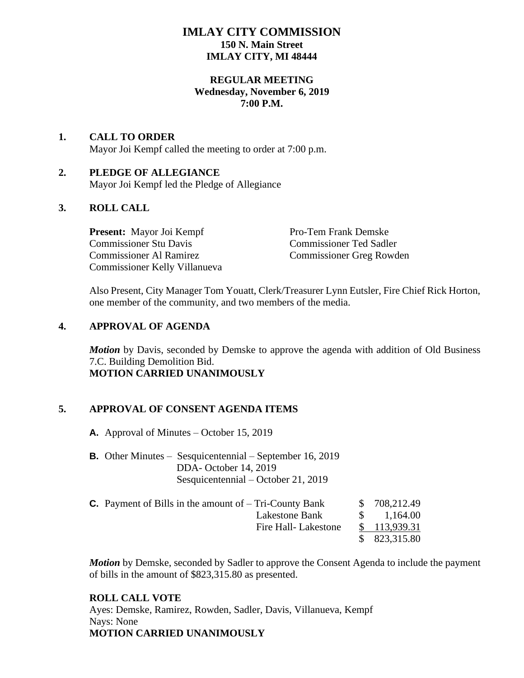# **IMLAY CITY COMMISSION 150 N. Main Street IMLAY CITY, MI 48444**

## **REGULAR MEETING Wednesday, November 6, 2019 7:00 P.M.**

#### **1. CALL TO ORDER** Mayor Joi Kempf called the meeting to order at 7:00 p.m.

# **2. PLEDGE OF ALLEGIANCE**

Mayor Joi Kempf led the Pledge of Allegiance

# **3. ROLL CALL**

**Present:** Mayor Joi Kempf Pro-Tem Frank Demske Commissioner Stu Davis Commissioner Ted Sadler Commissioner Al Ramirez Commissioner Greg Rowden Commissioner Kelly Villanueva

Also Present, City Manager Tom Youatt, Clerk/Treasurer Lynn Eutsler, Fire Chief Rick Horton, one member of the community, and two members of the media.

# **4. APPROVAL OF AGENDA**

*Motion* by Davis, seconded by Demske to approve the agenda with addition of Old Business 7.C. Building Demolition Bid. **MOTION CARRIED UNANIMOUSLY**

# **5. APPROVAL OF CONSENT AGENDA ITEMS**

**A.** Approval of Minutes – October 15, 2019

**B.** Other Minutes – Sesquicentennial – September 16, 2019 DDA- October 14, 2019 Sesquicentennial – October 21, 2019

| <b>C.</b> Payment of Bills in the amount of $-$ Tri-County Bank | \$708,212.49    |
|-----------------------------------------------------------------|-----------------|
| Lakestone Bank                                                  | $\$\,$ 1,164.00 |
| Fire Hall-Lakestone                                             | \$113,939.31    |
|                                                                 | \$823,315.80    |

*Motion* by Demske, seconded by Sadler to approve the Consent Agenda to include the payment of bills in the amount of \$823,315.80 as presented.

## **ROLL CALL VOTE**

Ayes: Demske, Ramirez, Rowden, Sadler, Davis, Villanueva, Kempf Nays: None **MOTION CARRIED UNANIMOUSLY**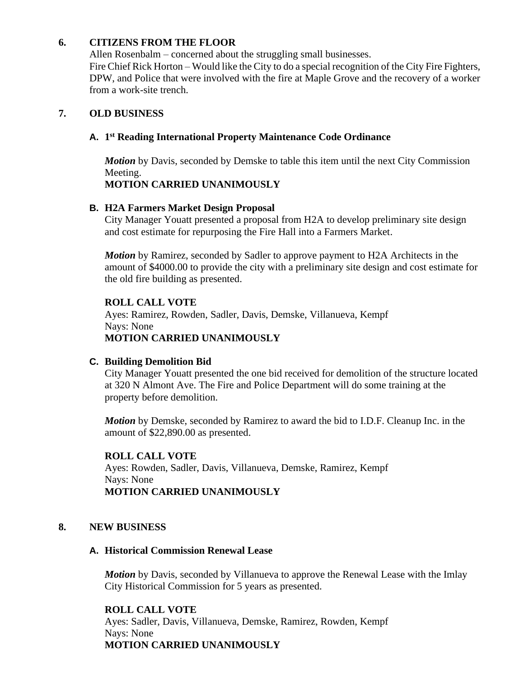## **6. CITIZENS FROM THE FLOOR**

Allen Rosenbalm – concerned about the struggling small businesses. Fire Chief Rick Horton – Would like the City to do a special recognition of the City Fire Fighters, DPW, and Police that were involved with the fire at Maple Grove and the recovery of a worker from a work-site trench.

## **7. OLD BUSINESS**

## **A. 1 st Reading International Property Maintenance Code Ordinance**

*Motion* by Davis, seconded by Demske to table this item until the next City Commission Meeting.

## **MOTION CARRIED UNANIMOUSLY**

## **B. H2A Farmers Market Design Proposal**

City Manager Youatt presented a proposal from H2A to develop preliminary site design and cost estimate for repurposing the Fire Hall into a Farmers Market.

*Motion* by Ramirez, seconded by Sadler to approve payment to H2A Architects in the amount of \$4000.00 to provide the city with a preliminary site design and cost estimate for the old fire building as presented.

## **ROLL CALL VOTE**

Ayes: Ramirez, Rowden, Sadler, Davis, Demske, Villanueva, Kempf Nays: None

#### **MOTION CARRIED UNANIMOUSLY**

## **C. Building Demolition Bid**

City Manager Youatt presented the one bid received for demolition of the structure located at 320 N Almont Ave. The Fire and Police Department will do some training at the property before demolition.

*Motion* by Demske, seconded by Ramirez to award the bid to I.D.F. Cleanup Inc. in the amount of \$22,890.00 as presented.

## **ROLL CALL VOTE**

Ayes: Rowden, Sadler, Davis, Villanueva, Demske, Ramirez, Kempf Nays: None **MOTION CARRIED UNANIMOUSLY**

## **8. NEW BUSINESS**

## **A. Historical Commission Renewal Lease**

*Motion* by Davis, seconded by Villanueva to approve the Renewal Lease with the Imlay City Historical Commission for 5 years as presented.

#### **ROLL CALL VOTE**

Ayes: Sadler, Davis, Villanueva, Demske, Ramirez, Rowden, Kempf Nays: None **MOTION CARRIED UNANIMOUSLY**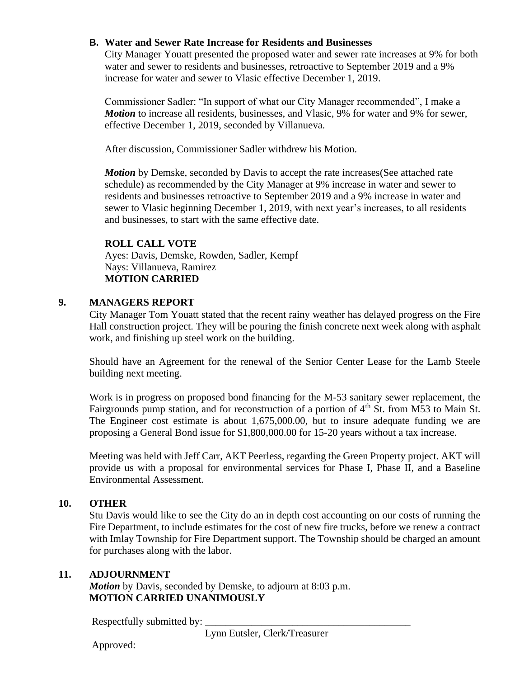## **B. Water and Sewer Rate Increase for Residents and Businesses**

City Manager Youatt presented the proposed water and sewer rate increases at 9% for both water and sewer to residents and businesses, retroactive to September 2019 and a 9% increase for water and sewer to Vlasic effective December 1, 2019.

Commissioner Sadler: "In support of what our City Manager recommended", I make a *Motion* to increase all residents, businesses, and Vlasic, 9% for water and 9% for sewer, effective December 1, 2019, seconded by Villanueva.

After discussion, Commissioner Sadler withdrew his Motion.

*Motion* by Demske, seconded by Davis to accept the rate increases (See attached rate schedule) as recommended by the City Manager at 9% increase in water and sewer to residents and businesses retroactive to September 2019 and a 9% increase in water and sewer to Vlasic beginning December 1, 2019, with next year's increases, to all residents and businesses, to start with the same effective date.

#### **ROLL CALL VOTE**

Ayes: Davis, Demske, Rowden, Sadler, Kempf Nays: Villanueva, Ramirez **MOTION CARRIED**

#### **9. MANAGERS REPORT**

City Manager Tom Youatt stated that the recent rainy weather has delayed progress on the Fire Hall construction project. They will be pouring the finish concrete next week along with asphalt work, and finishing up steel work on the building.

Should have an Agreement for the renewal of the Senior Center Lease for the Lamb Steele building next meeting.

Work is in progress on proposed bond financing for the M-53 sanitary sewer replacement, the Fairgrounds pump station, and for reconstruction of a portion of 4<sup>th</sup> St. from M53 to Main St. The Engineer cost estimate is about 1,675,000.00, but to insure adequate funding we are proposing a General Bond issue for \$1,800,000.00 for 15-20 years without a tax increase.

Meeting was held with Jeff Carr, AKT Peerless, regarding the Green Property project. AKT will provide us with a proposal for environmental services for Phase I, Phase II, and a Baseline Environmental Assessment.

#### **10. OTHER**

Stu Davis would like to see the City do an in depth cost accounting on our costs of running the Fire Department, to include estimates for the cost of new fire trucks, before we renew a contract with Imlay Township for Fire Department support. The Township should be charged an amount for purchases along with the labor.

#### **11. ADJOURNMENT**

*Motion* by Davis, seconded by Demske, to adjourn at 8:03 p.m. **MOTION CARRIED UNANIMOUSLY**

Respectfully submitted by:

Lynn Eutsler, Clerk/Treasurer

Approved: